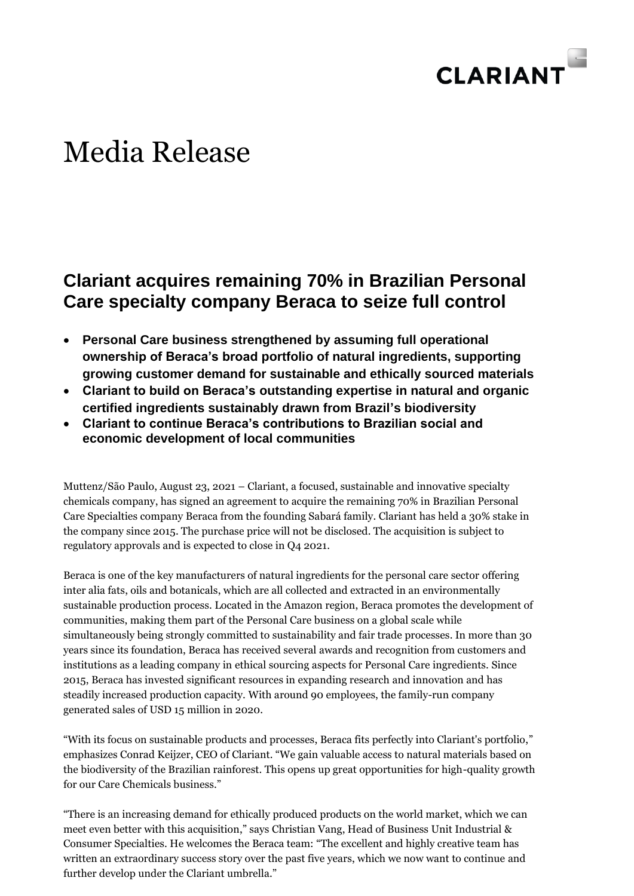

# Media Release

## **Clariant acquires remaining 70% in Brazilian Personal Care specialty company Beraca to seize full control**

- **Personal Care business strengthened by assuming full operational ownership of Beraca's broad portfolio of natural ingredients, supporting growing customer demand for sustainable and ethically sourced materials**
- **Clariant to build on Beraca's outstanding expertise in natural and organic certified ingredients sustainably drawn from Brazil's biodiversity**
- **Clariant to continue Beraca's contributions to Brazilian social and economic development of local communities**

Muttenz/São Paulo, August 23, 2021 – Clariant, a focused, sustainable and innovative specialty chemicals company, has signed an agreement to acquire the remaining 70% in Brazilian Personal Care Specialties company Beraca from the founding Sabará family. Clariant has held a 30% stake in the company since 2015. The purchase price will not be disclosed. The acquisition is subject to regulatory approvals and is expected to close in Q4 2021.

Beraca is one of the key manufacturers of natural ingredients for the personal care sector offering inter alia fats, oils and botanicals, which are all collected and extracted in an environmentally sustainable production process. Located in the Amazon region, Beraca promotes the development of communities, making them part of the Personal Care business on a global scale while simultaneously being strongly committed to sustainability and fair trade processes. In more than 30 years since its foundation, Beraca has received several awards and recognition from customers and institutions as a leading company in ethical sourcing aspects for Personal Care ingredients. Since 2015, Beraca has invested significant resources in expanding research and innovation and has steadily increased production capacity. With around 90 employees, the family-run company generated sales of USD 15 million in 2020.

"With its focus on sustainable products and processes, Beraca fits perfectly into Clariant's portfolio," emphasizes Conrad Keijzer, CEO of Clariant. "We gain valuable access to natural materials based on the biodiversity of the Brazilian rainforest. This opens up great opportunities for high-quality growth for our Care Chemicals business."

"There is an increasing demand for ethically produced products on the world market, which we can meet even better with this acquisition," says Christian Vang, Head of Business Unit Industrial & Consumer Specialties. He welcomes the Beraca team: "The excellent and highly creative team has written an extraordinary success story over the past five years, which we now want to continue and further develop under the Clariant umbrella."